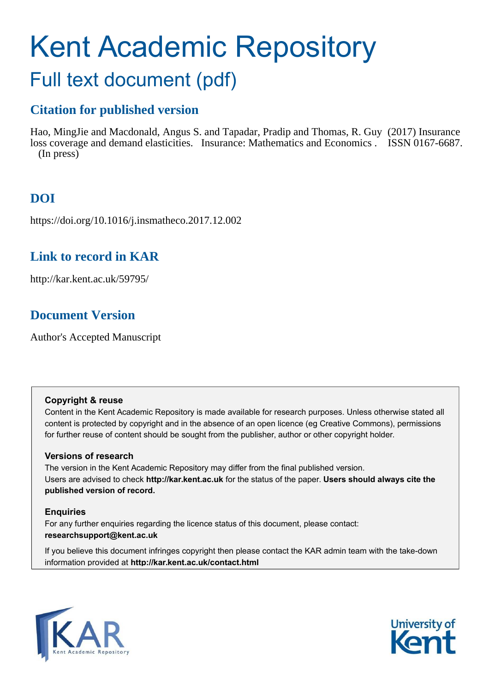# Kent Academic Repository Full text document (pdf)

# **Citation for published version**

Hao, MingJie and Macdonald, Angus S. and Tapadar, Pradip and Thomas, R. Guy (2017) Insurance loss coverage and demand elasticities. Insurance: Mathematics and Economics . ISSN 0167-6687. (In press)

# **DOI**

https://doi.org/10.1016/j.insmatheco.2017.12.002

## **Link to record in KAR**

http://kar.kent.ac.uk/59795/

# **Document Version**

Author's Accepted Manuscript

## **Copyright & reuse**

Content in the Kent Academic Repository is made available for research purposes. Unless otherwise stated all content is protected by copyright and in the absence of an open licence (eg Creative Commons), permissions for further reuse of content should be sought from the publisher, author or other copyright holder.

## **Versions of research**

The version in the Kent Academic Repository may differ from the final published version. Users are advised to check **http://kar.kent.ac.uk** for the status of the paper. **Users should always cite the published version of record.**

## **Enquiries**

For any further enquiries regarding the licence status of this document, please contact: **researchsupport@kent.ac.uk**

If you believe this document infringes copyright then please contact the KAR admin team with the take-down information provided at **http://kar.kent.ac.uk/contact.html**



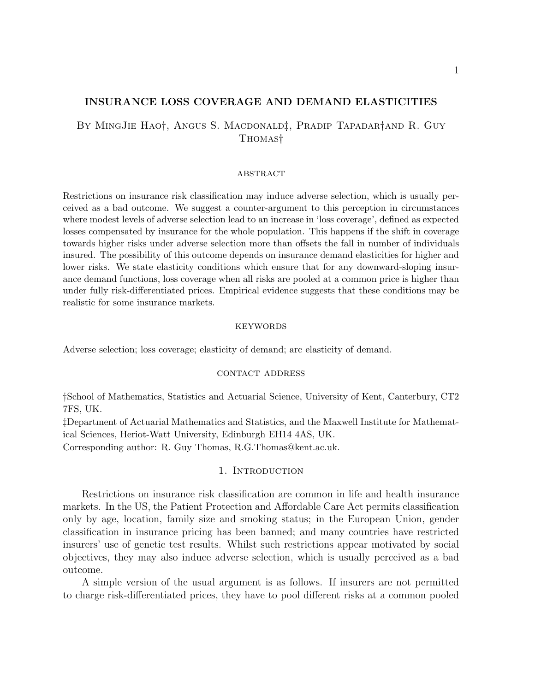#### INSURANCE LOSS COVERAGE AND DEMAND ELASTICITIES

### By MingJie Hao†, Angus S. Macdonald‡, Pradip Tapadar†and R. Guy THOMAS<sup>†</sup>

#### **ABSTRACT**

Restrictions on insurance risk classification may induce adverse selection, which is usually perceived as a bad outcome. We suggest a counter-argument to this perception in circumstances where modest levels of adverse selection lead to an increase in 'loss coverage', defined as expected losses compensated by insurance for the whole population. This happens if the shift in coverage towards higher risks under adverse selection more than offsets the fall in number of individuals insured. The possibility of this outcome depends on insurance demand elasticities for higher and lower risks. We state elasticity conditions which ensure that for any downward-sloping insurance demand functions, loss coverage when all risks are pooled at a common price is higher than under fully risk-differentiated prices. Empirical evidence suggests that these conditions may be realistic for some insurance markets.

#### **KEYWORDS**

Adverse selection; loss coverage; elasticity of demand; arc elasticity of demand.

#### contact address

School of Mathematics, Statistics and Actuarial Science, University of Kent, Canterbury, CT2 7FS, UK.

Department of Actuarial Mathematics and Statistics, and the Maxwell Institute for Mathematical Sciences, Heriot-Watt University, Edinburgh EH14 4AS, UK.

Corresponding author: R. Guy Thomas, R.G.Thomas@kent.ac.uk.

#### 1. INTRODUCTION

Restrictions on insurance risk classification are common in life and health insurance markets. In the US, the Patient Protection and Affordable Care Act permits classification only by age, location, family size and smoking status; in the European Union, gender classification in insurance pricing has been banned; and many countries have restricted insurers' use of genetic test results. Whilst such restrictions appear motivated by social objectives, they may also induce adverse selection, which is usually perceived as a bad outcome.

A simple version of the usual argument is as follows. If insurers are not permitted to charge risk-differentiated prices, they have to pool different risks at a common pooled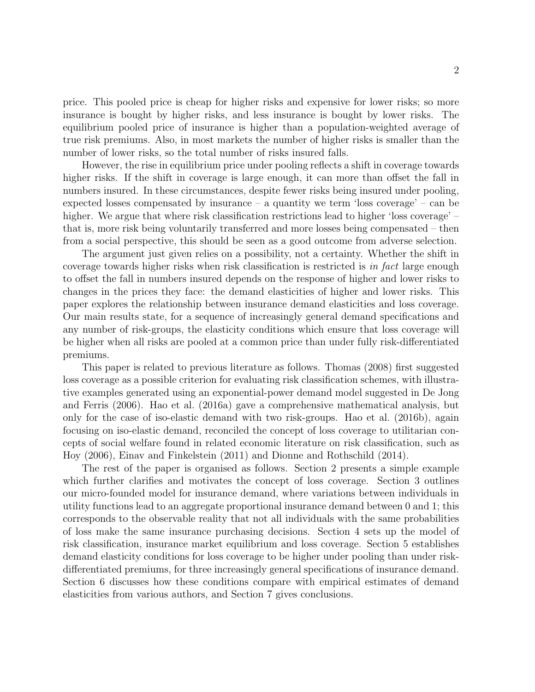price. This pooled price is cheap for higher risks and expensive for lower risks; so more insurance is bought by higher risks, and less insurance is bought by lower risks. The equilibrium pooled price of insurance is higher than a population-weighted average of true risk premiums. Also, in most markets the number of higher risks is smaller than the number of lower risks, so the total number of risks insured falls.

However, the rise in equilibrium price under pooling reflects a shift in coverage towards higher risks. If the shift in coverage is large enough, it can more than offset the fall in numbers insured. In these circumstances, despite fewer risks being insured under pooling, expected losses compensated by insurance – a quantity we term 'loss coverage' – can be higher. We argue that where risk classification restrictions lead to higher 'loss coverage' – that is, more risk being voluntarily transferred and more losses being compensated – then from a social perspective, this should be seen as a good outcome from adverse selection.

The argument just given relies on a possibility, not a certainty. Whether the shift in coverage towards higher risks when risk classification is restricted is in fact large enough to offset the fall in numbers insured depends on the response of higher and lower risks to changes in the prices they face: the demand elasticities of higher and lower risks. This paper explores the relationship between insurance demand elasticities and loss coverage. Our main results state, for a sequence of increasingly general demand specifications and any number of risk-groups, the elasticity conditions which ensure that loss coverage will be higher when all risks are pooled at a common price than under fully risk-differentiated premiums.

This paper is related to previous literature as follows. Thomas (2008) first suggested loss coverage as a possible criterion for evaluating risk classification schemes, with illustrative examples generated using an exponential-power demand model suggested in De Jong and Ferris (2006). Hao et al. (2016a) gave a comprehensive mathematical analysis, but only for the case of iso-elastic demand with two risk-groups. Hao et al. (2016b), again focusing on iso-elastic demand, reconciled the concept of loss coverage to utilitarian concepts of social welfare found in related economic literature on risk classification, such as Hoy (2006), Einav and Finkelstein (2011) and Dionne and Rothschild (2014).

The rest of the paper is organised as follows. Section 2 presents a simple example which further clarifies and motivates the concept of loss coverage. Section 3 outlines our micro-founded model for insurance demand, where variations between individuals in utility functions lead to an aggregate proportional insurance demand between 0 and 1; this corresponds to the observable reality that not all individuals with the same probabilities of loss make the same insurance purchasing decisions. Section 4 sets up the model of risk classification, insurance market equilibrium and loss coverage. Section 5 establishes demand elasticity conditions for loss coverage to be higher under pooling than under riskdifferentiated premiums, for three increasingly general specifications of insurance demand. Section 6 discusses how these conditions compare with empirical estimates of demand elasticities from various authors, and Section 7 gives conclusions.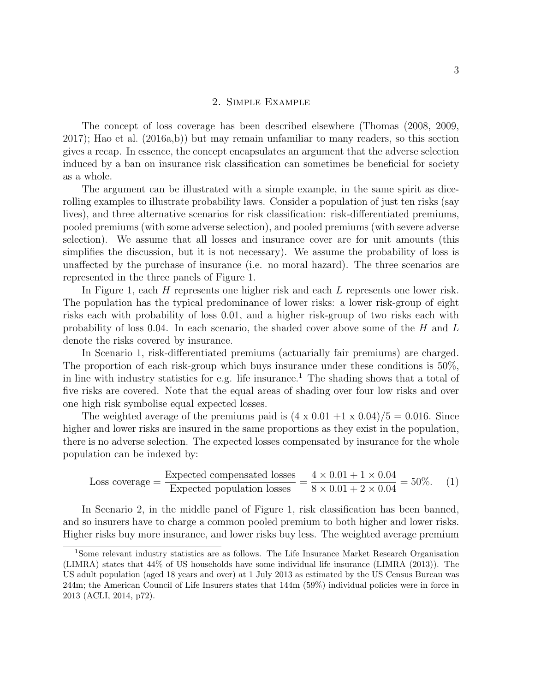#### 2. Simple Example

The concept of loss coverage has been described elsewhere (Thomas (2008, 2009, 2017); Hao et al. (2016a,b)) but may remain unfamiliar to many readers, so this section gives a recap. In essence, the concept encapsulates an argument that the adverse selection induced by a ban on insurance risk classification can sometimes be beneficial for society as a whole.

The argument can be illustrated with a simple example, in the same spirit as dicerolling examples to illustrate probability laws. Consider a population of just ten risks (say lives), and three alternative scenarios for risk classification: risk-differentiated premiums, pooled premiums (with some adverse selection), and pooled premiums (with severe adverse selection). We assume that all losses and insurance cover are for unit amounts (this simplifies the discussion, but it is not necessary). We assume the probability of loss is unaffected by the purchase of insurance (i.e. no moral hazard). The three scenarios are represented in the three panels of Figure 1.

In Figure 1, each  $H$  represents one higher risk and each  $L$  represents one lower risk. The population has the typical predominance of lower risks: a lower risk-group of eight risks each with probability of loss 0.01, and a higher risk-group of two risks each with probability of loss 0.04. In each scenario, the shaded cover above some of the  $H$  and  $L$ denote the risks covered by insurance.

In Scenario 1, risk-differentiated premiums (actuarially fair premiums) are charged. The proportion of each risk-group which buys insurance under these conditions is 50%, in line with industry statistics for e.g. life insurance.<sup>1</sup> The shading shows that a total of five risks are covered. Note that the equal areas of shading over four low risks and over one high risk symbolise equal expected losses.

The weighted average of the premiums paid is  $(4 \times 0.01 + 1 \times 0.04)/5 = 0.016$ . Since higher and lower risks are insured in the same proportions as they exist in the population, there is no adverse selection. The expected losses compensated by insurance for the whole population can be indexed by:

Loss coverage = 
$$
\frac{\text{Expected compensated losses}}{\text{Expected population losses}} = \frac{4 \times 0.01 + 1 \times 0.04}{8 \times 0.01 + 2 \times 0.04} = 50\%.
$$
 (1)

In Scenario 2, in the middle panel of Figure 1, risk classification has been banned, and so insurers have to charge a common pooled premium to both higher and lower risks. Higher risks buy more insurance, and lower risks buy less. The weighted average premium

<sup>1</sup>Some relevant industry statistics are as follows. The Life Insurance Market Research Organisation (LIMRA) states that 44% of US households have some individual life insurance (LIMRA (2013)). The US adult population (aged 18 years and over) at 1 July 2013 as estimated by the US Census Bureau was 244m; the American Council of Life Insurers states that 144m (59%) individual policies were in force in 2013 (ACLI, 2014, p72).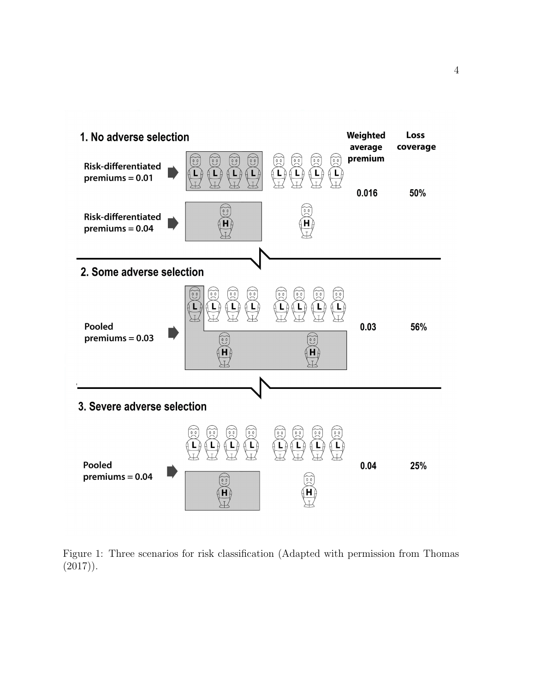

Figure 1: Three scenarios for risk classification (Adapted with permission from Thomas  $(2017)$ .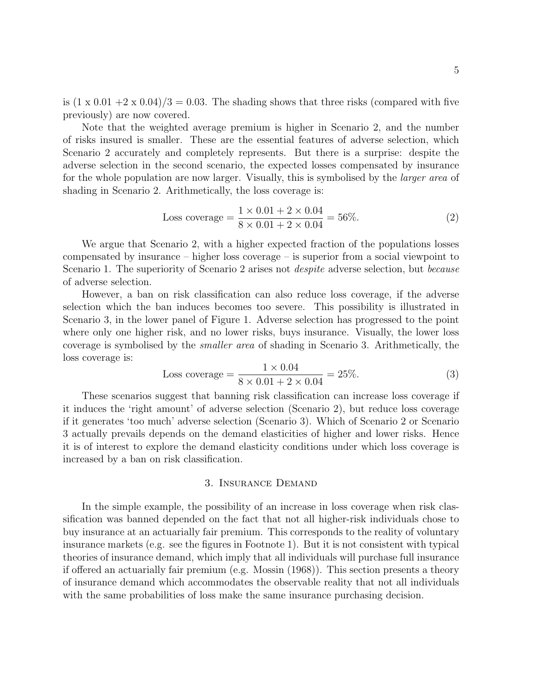is  $(1 \times 0.01 + 2 \times 0.04)/3 = 0.03$ . The shading shows that three risks (compared with five previously) are now covered.

Note that the weighted average premium is higher in Scenario 2, and the number of risks insured is smaller. These are the essential features of adverse selection, which Scenario 2 accurately and completely represents. But there is a surprise: despite the adverse selection in the second scenario, the expected losses compensated by insurance for the whole population are now larger. Visually, this is symbolised by the larger area of shading in Scenario 2. Arithmetically, the loss coverage is:

Loss coverage = 
$$
\frac{1 \times 0.01 + 2 \times 0.04}{8 \times 0.01 + 2 \times 0.04} = 56\%.
$$
 (2)

We argue that Scenario 2, with a higher expected fraction of the populations losses compensated by insurance – higher loss coverage – is superior from a social viewpoint to Scenario 1. The superiority of Scenario 2 arises not *despite* adverse selection, but *because* of adverse selection.

However, a ban on risk classification can also reduce loss coverage, if the adverse selection which the ban induces becomes too severe. This possibility is illustrated in Scenario 3, in the lower panel of Figure 1. Adverse selection has progressed to the point where only one higher risk, and no lower risks, buys insurance. Visually, the lower loss coverage is symbolised by the smaller area of shading in Scenario 3. Arithmetically, the loss coverage is:

Loss coverage = 
$$
\frac{1 \times 0.04}{8 \times 0.01 + 2 \times 0.04} = 25\%.
$$
 (3)

These scenarios suggest that banning risk classification can increase loss coverage if it induces the 'right amount' of adverse selection (Scenario 2), but reduce loss coverage if it generates 'too much' adverse selection (Scenario 3). Which of Scenario 2 or Scenario 3 actually prevails depends on the demand elasticities of higher and lower risks. Hence it is of interest to explore the demand elasticity conditions under which loss coverage is increased by a ban on risk classification.

#### 3. Insurance Demand

In the simple example, the possibility of an increase in loss coverage when risk classification was banned depended on the fact that not all higher-risk individuals chose to buy insurance at an actuarially fair premium. This corresponds to the reality of voluntary insurance markets (e.g. see the figures in Footnote 1). But it is not consistent with typical theories of insurance demand, which imply that all individuals will purchase full insurance if offered an actuarially fair premium (e.g. Mossin (1968)). This section presents a theory of insurance demand which accommodates the observable reality that not all individuals with the same probabilities of loss make the same insurance purchasing decision.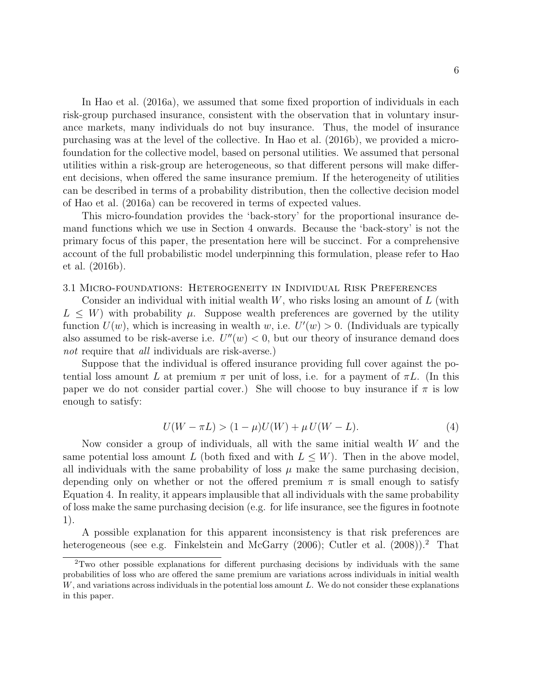In Hao et al. (2016a), we assumed that some fixed proportion of individuals in each risk-group purchased insurance, consistent with the observation that in voluntary insurance markets, many individuals do not buy insurance. Thus, the model of insurance purchasing was at the level of the collective. In Hao et al. (2016b), we provided a microfoundation for the collective model, based on personal utilities. We assumed that personal utilities within a risk-group are heterogeneous, so that different persons will make different decisions, when offered the same insurance premium. If the heterogeneity of utilities can be described in terms of a probability distribution, then the collective decision model of Hao et al. (2016a) can be recovered in terms of expected values.

This micro-foundation provides the 'back-story' for the proportional insurance demand functions which we use in Section 4 onwards. Because the 'back-story' is not the primary focus of this paper, the presentation here will be succinct. For a comprehensive account of the full probabilistic model underpinning this formulation, please refer to Hao et al. (2016b).

3.1 Micro-foundations: Heterogeneity in Individual Risk Preferences

Consider an individual with initial wealth  $W$ , who risks losing an amount of  $L$  (with  $L \leq W$ ) with probability  $\mu$ . Suppose wealth preferences are governed by the utility function  $U(w)$ , which is increasing in wealth w, i.e.  $U'(w) > 0$ . (Individuals are typically also assumed to be risk-averse i.e.  $U''(w) < 0$ , but our theory of insurance demand does not require that all individuals are risk-averse.)

Suppose that the individual is offered insurance providing full cover against the potential loss amount L at premium  $\pi$  per unit of loss, i.e. for a payment of  $\pi L$ . (In this paper we do not consider partial cover.) She will choose to buy insurance if  $\pi$  is low enough to satisfy:

$$
U(W - \pi L) > (1 - \mu)U(W) + \mu U(W - L).
$$
\n(4)

Now consider a group of individuals, all with the same initial wealth W and the same potential loss amount L (both fixed and with  $L \leq W$ ). Then in the above model, all individuals with the same probability of loss  $\mu$  make the same purchasing decision, depending only on whether or not the offered premium  $\pi$  is small enough to satisfy Equation 4. In reality, it appears implausible that all individuals with the same probability of loss make the same purchasing decision (e.g. for life insurance, see the figures in footnote 1).

A possible explanation for this apparent inconsistency is that risk preferences are heterogeneous (see e.g. Finkelstein and McGarry (2006); Cutler et al. (2008)).<sup>2</sup> That

<sup>2</sup>Two other possible explanations for different purchasing decisions by individuals with the same probabilities of loss who are offered the same premium are variations across individuals in initial wealth  $W$ , and variations across individuals in the potential loss amount  $L$ . We do not consider these explanations in this paper.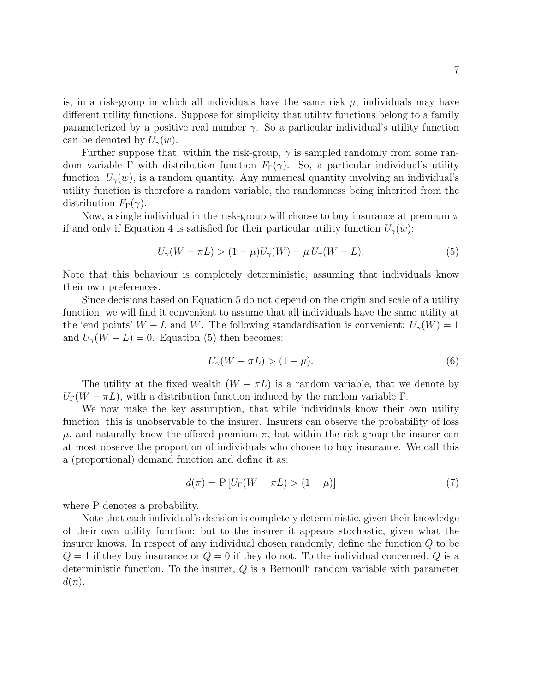is, in a risk-group in which all individuals have the same risk  $\mu$ , individuals may have different utility functions. Suppose for simplicity that utility functions belong to a family parameterized by a positive real number  $\gamma$ . So a particular individual's utility function can be denoted by  $U_{\gamma}(w)$ .

Further suppose that, within the risk-group,  $\gamma$  is sampled randomly from some random variable Γ with distribution function  $F_{\Gamma}(\gamma)$ . So, a particular individual's utility function,  $U_{\gamma}(w)$ , is a random quantity. Any numerical quantity involving an individual's utility function is therefore a random variable, the randomness being inherited from the distribution  $F_{\Gamma}(\gamma)$ .

Now, a single individual in the risk-group will choose to buy insurance at premium  $\pi$ if and only if Equation 4 is satisfied for their particular utility function  $U_{\gamma}(w)$ :

$$
U_{\gamma}(W - \pi L) > (1 - \mu)U_{\gamma}(W) + \mu U_{\gamma}(W - L). \tag{5}
$$

Note that this behaviour is completely deterministic, assuming that individuals know their own preferences.

Since decisions based on Equation 5 do not depend on the origin and scale of a utility function, we will find it convenient to assume that all individuals have the same utility at the 'end points'  $W - L$  and W. The following standardisation is convenient:  $U_{\gamma}(W) = 1$ and  $U_{\gamma}(W - L) = 0$ . Equation (5) then becomes:

$$
U_{\gamma}(W - \pi L) > (1 - \mu). \tag{6}
$$

The utility at the fixed wealth  $(W - \pi L)$  is a random variable, that we denote by  $U_{\Gamma}(W - \pi L)$ , with a distribution function induced by the random variable Γ.

We now make the key assumption, that while individuals know their own utility function, this is unobservable to the insurer. Insurers can observe the probability of loss  $\mu$ , and naturally know the offered premium  $\pi$ , but within the risk-group the insurer can at most observe the proportion of individuals who choose to buy insurance. We call this a (proportional) demand function and define it as:

$$
d(\pi) = P[U_{\Gamma}(W - \pi L) > (1 - \mu)]
$$
\n(7)

where P denotes a probability.

Note that each individual's decision is completely deterministic, given their knowledge of their own utility function; but to the insurer it appears stochastic, given what the insurer knows. In respect of any individual chosen randomly, define the function Q to be  $Q = 1$  if they buy insurance or  $Q = 0$  if they do not. To the individual concerned, Q is a deterministic function. To the insurer, Q is a Bernoulli random variable with parameter  $d(\pi)$ .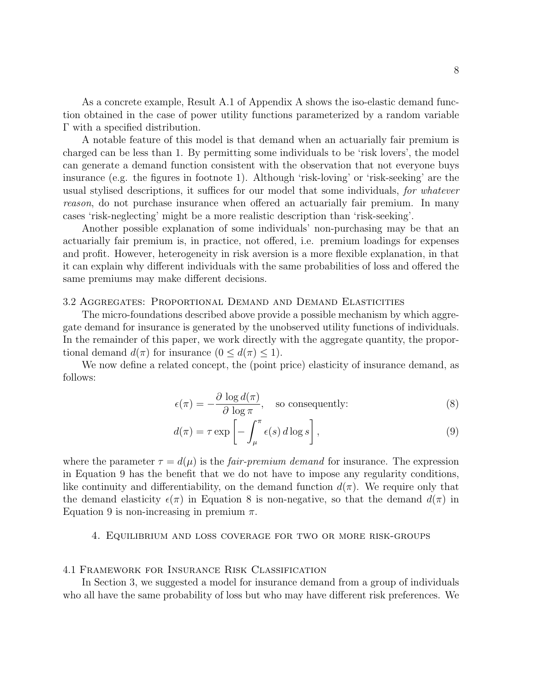As a concrete example, Result A.1 of Appendix A shows the iso-elastic demand function obtained in the case of power utility functions parameterized by a random variable Γ with a specified distribution.

A notable feature of this model is that demand when an actuarially fair premium is charged can be less than 1. By permitting some individuals to be 'risk lovers', the model can generate a demand function consistent with the observation that not everyone buys insurance (e.g. the figures in footnote 1). Although 'risk-loving' or 'risk-seeking' are the usual stylised descriptions, it suffices for our model that some individuals, for whatever reason, do not purchase insurance when offered an actuarially fair premium. In many cases 'risk-neglecting' might be a more realistic description than 'risk-seeking'.

Another possible explanation of some individuals' non-purchasing may be that an actuarially fair premium is, in practice, not offered, i.e. premium loadings for expenses and profit. However, heterogeneity in risk aversion is a more flexible explanation, in that it can explain why different individuals with the same probabilities of loss and offered the same premiums may make different decisions.

#### 3.2 Aggregates: Proportional Demand and Demand Elasticities

The micro-foundations described above provide a possible mechanism by which aggregate demand for insurance is generated by the unobserved utility functions of individuals. In the remainder of this paper, we work directly with the aggregate quantity, the proportional demand  $d(\pi)$  for insurance  $(0 \leq d(\pi) \leq 1)$ .

We now define a related concept, the (point price) elasticity of insurance demand, as follows:

$$
\epsilon(\pi) = -\frac{\partial \log d(\pi)}{\partial \log \pi}, \quad \text{so consequently:} \tag{8}
$$

$$
d(\pi) = \tau \exp\left[-\int_{\mu}^{\pi} \epsilon(s) d\log s\right],\tag{9}
$$

where the parameter  $\tau = d(\mu)$  is the *fair-premium demand* for insurance. The expression in Equation 9 has the benefit that we do not have to impose any regularity conditions, like continuity and differentiability, on the demand function  $d(\pi)$ . We require only that the demand elasticity  $\epsilon(\pi)$  in Equation 8 is non-negative, so that the demand  $d(\pi)$  in Equation 9 is non-increasing in premium  $\pi$ .

#### 4. Equilibrium and loss coverage for two or more risk-groups

#### 4.1 Framework for Insurance Risk Classification

In Section 3, we suggested a model for insurance demand from a group of individuals who all have the same probability of loss but who may have different risk preferences. We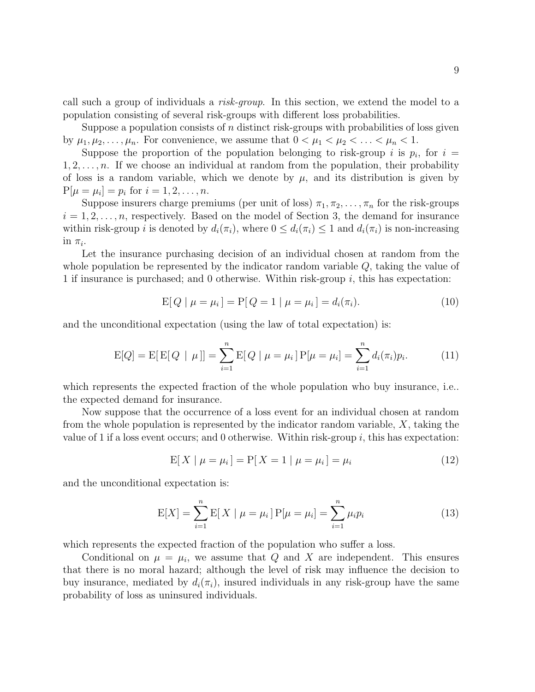call such a group of individuals a risk-group. In this section, we extend the model to a population consisting of several risk-groups with different loss probabilities.

Suppose a population consists of  $n$  distinct risk-groups with probabilities of loss given by  $\mu_1, \mu_2, \ldots, \mu_n$ . For convenience, we assume that  $0 < \mu_1 < \mu_2 < \ldots < \mu_n < 1$ .

Suppose the proportion of the population belonging to risk-group i is  $p_i$ , for  $i =$  $1, 2, \ldots, n$ . If we choose an individual at random from the population, their probability of loss is a random variable, which we denote by  $\mu$ , and its distribution is given by  $P[\mu = \mu_i] = p_i \text{ for } i = 1, 2, ..., n.$ 

Suppose insurers charge premiums (per unit of loss)  $\pi_1, \pi_2, \ldots, \pi_n$  for the risk-groups  $i = 1, 2, \ldots, n$ , respectively. Based on the model of Section 3, the demand for insurance within risk-group i is denoted by  $d_i(\pi_i)$ , where  $0 \leq d_i(\pi_i) \leq 1$  and  $d_i(\pi_i)$  is non-increasing in  $\pi_i$ .

Let the insurance purchasing decision of an individual chosen at random from the whole population be represented by the indicator random variable Q, taking the value of 1 if insurance is purchased; and 0 otherwise. Within risk-group i, this has expectation:

$$
E[Q \mid \mu = \mu_i] = P[Q = 1 \mid \mu = \mu_i] = d_i(\pi_i). \tag{10}
$$

and the unconditional expectation (using the law of total expectation) is:

$$
E[Q] = E[E[Q | \mu]] = \sum_{i=1}^{n} E[Q | \mu = \mu_i] P[\mu = \mu_i] = \sum_{i=1}^{n} d_i(\pi_i) p_i.
$$
 (11)

which represents the expected fraction of the whole population who buy insurance, i.e. the expected demand for insurance.

Now suppose that the occurrence of a loss event for an individual chosen at random from the whole population is represented by the indicator random variable, X, taking the value of 1 if a loss event occurs; and 0 otherwise. Within risk-group  $i$ , this has expectation:

$$
E[X \mid \mu = \mu_i] = P[X = 1 \mid \mu = \mu_i] = \mu_i \tag{12}
$$

and the unconditional expectation is:

$$
E[X] = \sum_{i=1}^{n} E[X \mid \mu = \mu_i] P[\mu = \mu_i] = \sum_{i=1}^{n} \mu_i p_i
$$
 (13)

which represents the expected fraction of the population who suffer a loss.

Conditional on  $\mu = \mu_i$ , we assume that Q and X are independent. This ensures that there is no moral hazard; although the level of risk may influence the decision to buy insurance, mediated by  $d_i(\pi_i)$ , insured individuals in any risk-group have the same probability of loss as uninsured individuals.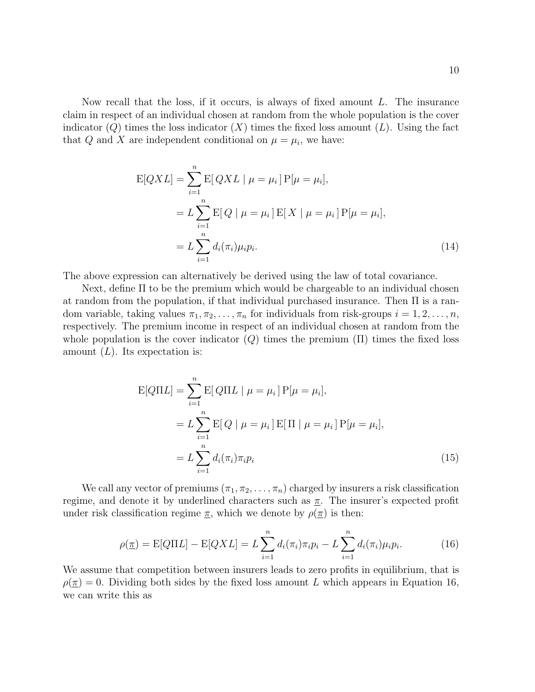Now recall that the loss, if it occurs, is always of fixed amount L. The insurance claim in respect of an individual chosen at random from the whole population is the cover indicator  $(Q)$  times the loss indicator  $(X)$  times the fixed loss amount  $(L)$ . Using the fact that Q and X are independent conditional on  $\mu = \mu_i$ , we have:

$$
E[QXL] = \sum_{i=1}^{n} E[QXL \mid \mu = \mu_i] P[\mu = \mu_i],
$$
  
=  $L \sum_{i=1}^{n} E[Q \mid \mu = \mu_i] E[X \mid \mu = \mu_i] P[\mu = \mu_i],$   
=  $L \sum_{i=1}^{n} d_i(\pi_i) \mu_i p_i.$  (14)

The above expression can alternatively be derived using the law of total covariance.

Next, define Π to be the premium which would be chargeable to an individual chosen at random from the population, if that individual purchased insurance. Then Π is a random variable, taking values  $\pi_1, \pi_2, \ldots, \pi_n$  for individuals from risk-groups  $i = 1, 2, \ldots, n$ , respectively. The premium income in respect of an individual chosen at random from the whole population is the cover indicator  $(Q)$  times the premium  $(\Pi)$  times the fixed loss amount  $(L)$ . Its expectation is:

$$
E[Q\Pi L] = \sum_{i=1}^{n} E[Q\Pi L | \mu = \mu_i] P[\mu = \mu_i],
$$
  
=  $L \sum_{i=1}^{n} E[Q | \mu = \mu_i] E[\Pi | \mu = \mu_i] P[\mu = \mu_i],$   
=  $L \sum_{i=1}^{n} d_i(\pi_i) \pi_i p_i$  (15)

We call any vector of premiums  $(\pi_1, \pi_2, \ldots, \pi_n)$  charged by insurers a risk classification regime, and denote it by underlined characters such as  $\pi$ . The insurer's expected profit under risk classification regime  $\pi$ , which we denote by  $\rho(\pi)$  is then:

$$
\rho(\underline{\pi}) = \mathbb{E}[Q\Pi L] - \mathbb{E}[QXL] = L \sum_{i=1}^{n} d_i(\pi_i)\pi_i p_i - L \sum_{i=1}^{n} d_i(\pi_i)\mu_i p_i.
$$
 (16)

We assume that competition between insurers leads to zero profits in equilibrium, that is  $\rho(\pi) = 0$ . Dividing both sides by the fixed loss amount L which appears in Equation 16, we can write this as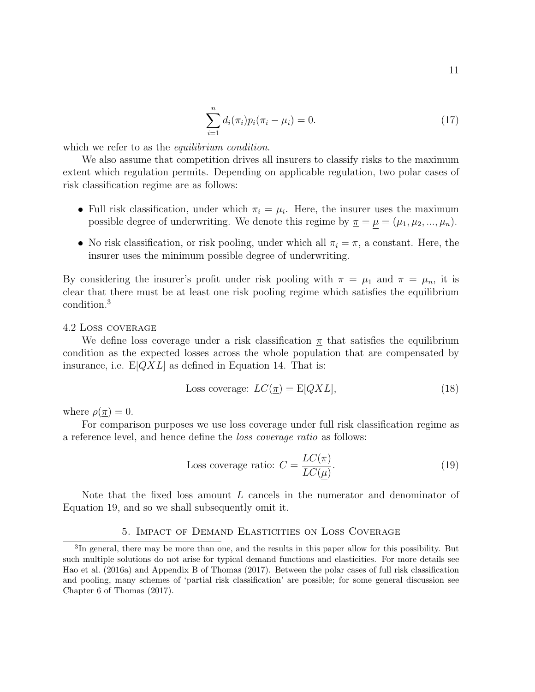$$
\sum_{i=1}^{n} d_i(\pi_i) p_i(\pi_i - \mu_i) = 0.
$$
 (17)

which we refer to as the *equilibrium condition*.

We also assume that competition drives all insurers to classify risks to the maximum extent which regulation permits. Depending on applicable regulation, two polar cases of risk classification regime are as follows:

- Full risk classification, under which  $\pi_i = \mu_i$ . Here, the insurer uses the maximum possible degree of underwriting. We denote this regime by  $\underline{\pi} = \underline{\mu} = (\mu_1, \mu_2, ..., \mu_n)$ .
- No risk classification, or risk pooling, under which all  $\pi_i = \pi$ , a constant. Here, the insurer uses the minimum possible degree of underwriting.

By considering the insurer's profit under risk pooling with  $\pi = \mu_1$  and  $\pi = \mu_n$ , it is clear that there must be at least one risk pooling regime which satisfies the equilibrium condition.<sup>3</sup>

#### 4.2 Loss coverage

We define loss coverage under a risk classification  $\pi$  that satisfies the equilibrium condition as the expected losses across the whole population that are compensated by insurance, i.e.  $E[QXL]$  as defined in Equation 14. That is:

Loss coverage: 
$$
LC(\pi) = E[QXL],
$$
 (18)

where  $\rho(\underline{\pi})=0$ .

For comparison purposes we use loss coverage under full risk classification regime as a reference level, and hence define the loss coverage ratio as follows:

Loss coverage ratio: 
$$
C = \frac{LC(\pi)}{LC(\mu)}
$$
. (19)

Note that the fixed loss amount L cancels in the numerator and denominator of Equation 19, and so we shall subsequently omit it.

#### 5. Impact of Demand Elasticities on Loss Coverage

<sup>&</sup>lt;sup>3</sup>In general, there may be more than one, and the results in this paper allow for this possibility. But such multiple solutions do not arise for typical demand functions and elasticities. For more details see Hao et al. (2016a) and Appendix B of Thomas (2017). Between the polar cases of full risk classification and pooling, many schemes of 'partial risk classification' are possible; for some general discussion see Chapter 6 of Thomas (2017).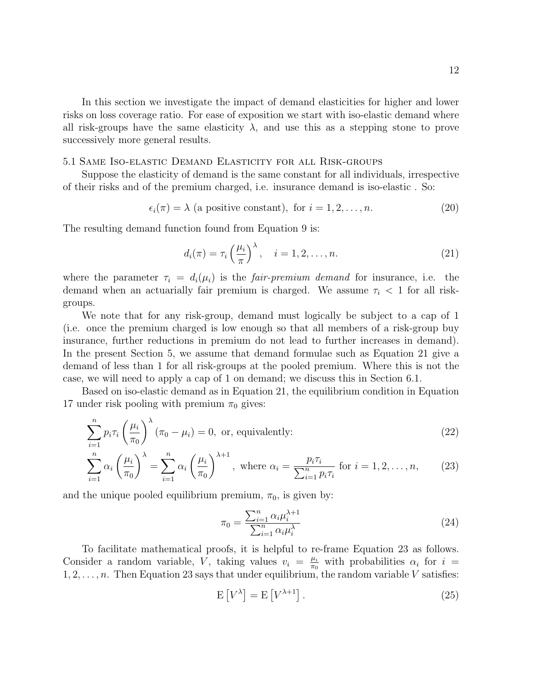In this section we investigate the impact of demand elasticities for higher and lower risks on loss coverage ratio. For ease of exposition we start with iso-elastic demand where all risk-groups have the same elasticity  $\lambda$ , and use this as a stepping stone to prove successively more general results.

#### 5.1 Same Iso-elastic Demand Elasticity for all Risk-groups

Suppose the elasticity of demand is the same constant for all individuals, irrespective of their risks and of the premium charged, i.e. insurance demand is iso-elastic . So:

$$
\epsilon_i(\pi) = \lambda \text{ (a positive constant), for } i = 1, 2, \dots, n. \tag{20}
$$

The resulting demand function found from Equation 9 is:

$$
d_i(\pi) = \tau_i \left(\frac{\mu_i}{\pi}\right)^{\lambda}, \quad i = 1, 2, \dots, n. \tag{21}
$$

where the parameter  $\tau_i = d_i(\mu_i)$  is the *fair-premium demand* for insurance, i.e. the demand when an actuarially fair premium is charged. We assume  $\tau_i$  < 1 for all riskgroups.

We note that for any risk-group, demand must logically be subject to a cap of 1 (i.e. once the premium charged is low enough so that all members of a risk-group buy insurance, further reductions in premium do not lead to further increases in demand). In the present Section 5, we assume that demand formulae such as Equation 21 give a demand of less than 1 for all risk-groups at the pooled premium. Where this is not the case, we will need to apply a cap of 1 on demand; we discuss this in Section 6.1.

Based on iso-elastic demand as in Equation 21, the equilibrium condition in Equation 17 under risk pooling with premium  $\pi_0$  gives:

$$
\sum_{i=1}^{n} p_i \tau_i \left(\frac{\mu_i}{\pi_0}\right)^{\lambda} (\pi_0 - \mu_i) = 0, \text{ or, equivalently:}
$$
 (22)

$$
\sum_{i=1}^{n} \alpha_i \left(\frac{\mu_i}{\pi_0}\right)^{\lambda} = \sum_{i=1}^{n} \alpha_i \left(\frac{\mu_i}{\pi_0}\right)^{\lambda+1}, \text{ where } \alpha_i = \frac{p_i \tau_i}{\sum_{i=1}^{n} p_i \tau_i} \text{ for } i = 1, 2, \dots, n,
$$
 (23)

and the unique pooled equilibrium premium,  $\pi_0$ , is given by:

$$
\pi_0 = \frac{\sum_{i=1}^n \alpha_i \mu_i^{\lambda+1}}{\sum_{i=1}^n \alpha_i \mu_i^{\lambda}}
$$
\n(24)

To facilitate mathematical proofs, it is helpful to re-frame Equation 23 as follows. Consider a random variable, V, taking values  $v_i = \frac{\mu_i}{\pi a}$  $\frac{\mu_i}{\pi_0}$  with probabilities  $\alpha_i$  for  $i =$  $1, 2, \ldots, n$ . Then Equation 23 says that under equilibrium, the random variable V satisfies:

$$
E[V^{\lambda}] = E[V^{\lambda+1}].
$$
\n(25)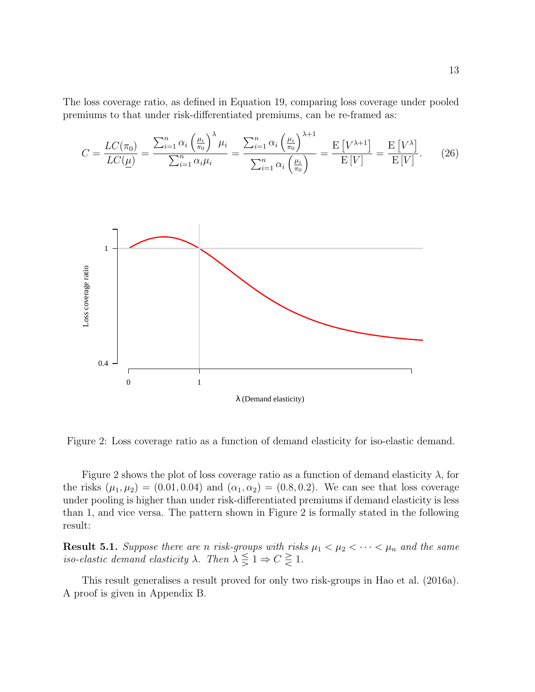The loss coverage ratio, as defined in Equation 19, comparing loss coverage under pooled premiums to that under risk-differentiated premiums, can be re-framed as:

$$
C = \frac{LC(\pi_0)}{LC(\underline{\mu})} = \frac{\sum_{i=1}^n \alpha_i \left(\frac{\mu_i}{\pi_0}\right)^{\lambda} \mu_i}{\sum_{i=1}^n \alpha_i \mu_i} = \frac{\sum_{i=1}^n \alpha_i \left(\frac{\mu_i}{\pi_0}\right)^{\lambda+1}}{\sum_{i=1}^n \alpha_i \left(\frac{\mu_i}{\pi_0}\right)} = \frac{E[V^{\lambda+1}]}{E[V]} = \frac{E[V^{\lambda}]}{E[V]}.
$$
 (26)



Figure 2: Loss coverage ratio as a function of demand elasticity for iso-elastic demand.

Figure 2 shows the plot of loss coverage ratio as a function of demand elasticity  $\lambda$ , for the risks  $(\mu_1, \mu_2) = (0.01, 0.04)$  and  $(\alpha_1, \alpha_2) = (0.8, 0.2)$ . We can see that loss coverage under pooling is higher than under risk-differentiated premiums if demand elasticity is less than 1, and vice versa. The pattern shown in Figure 2 is formally stated in the following result:

**Result 5.1.** Suppose there are n risk-groups with risks  $\mu_1 < \mu_2 < \cdots < \mu_n$  and the same iso-elastic demand elasticity  $\lambda$ . Then  $\lambda \leq 1 \Rightarrow C \leq 1$ .

This result generalises a result proved for only two risk-groups in Hao et al. (2016a). A proof is given in Appendix B.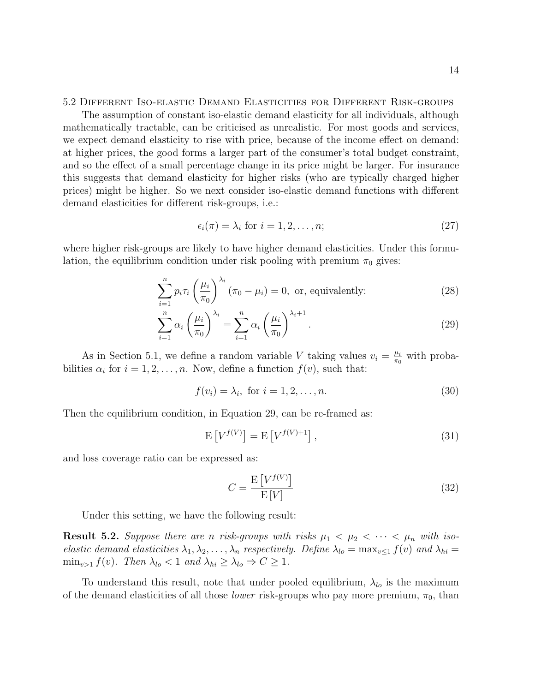5.2 Different Iso-elastic Demand Elasticities for Different Risk-groups

The assumption of constant iso-elastic demand elasticity for all individuals, although mathematically tractable, can be criticised as unrealistic. For most goods and services, we expect demand elasticity to rise with price, because of the income effect on demand: at higher prices, the good forms a larger part of the consumer's total budget constraint, and so the effect of a small percentage change in its price might be larger. For insurance this suggests that demand elasticity for higher risks (who are typically charged higher prices) might be higher. So we next consider iso-elastic demand functions with different demand elasticities for different risk-groups, i.e.:

$$
\epsilon_i(\pi) = \lambda_i \text{ for } i = 1, 2, \dots, n; \tag{27}
$$

where higher risk-groups are likely to have higher demand elasticities. Under this formulation, the equilibrium condition under risk pooling with premium  $\pi_0$  gives:

$$
\sum_{i=1}^{n} p_i \tau_i \left(\frac{\mu_i}{\pi_0}\right)^{\lambda_i} \left(\pi_0 - \mu_i\right) = 0, \text{ or, equivalently:}
$$
 (28)

$$
\sum_{i=1}^{n} \alpha_i \left(\frac{\mu_i}{\pi_0}\right)^{\lambda_i} = \sum_{i=1}^{n} \alpha_i \left(\frac{\mu_i}{\pi_0}\right)^{\lambda_i+1}.
$$
\n(29)

As in Section 5.1, we define a random variable V taking values  $v_i = \frac{\mu_i}{\pi_0}$  $\frac{\mu_i}{\pi_0}$  with probabilities  $\alpha_i$  for  $i = 1, 2, ..., n$ . Now, define a function  $f(v)$ , such that:

$$
f(v_i) = \lambda_i, \text{ for } i = 1, 2, \dots, n. \tag{30}
$$

Then the equilibrium condition, in Equation 29, can be re-framed as:

$$
\mathbf{E}\left[V^{f(V)}\right] = \mathbf{E}\left[V^{f(V)+1}\right],\tag{31}
$$

and loss coverage ratio can be expressed as:

$$
C = \frac{\mathrm{E}\left[V^{f(V)}\right]}{\mathrm{E}\left[V\right]} \tag{32}
$$

Under this setting, we have the following result:

**Result 5.2.** Suppose there are n risk-groups with risks  $\mu_1 < \mu_2 < \cdots < \mu_n$  with isoelastic demand elasticities  $\lambda_1, \lambda_2, \ldots, \lambda_n$  respectively. Define  $\lambda_{lo} = \max_{v \leq 1} f(v)$  and  $\lambda_{hi} =$  $\min_{v>1} f(v)$ . Then  $\lambda_{lo} < 1$  and  $\lambda_{hi} \geq \lambda_{lo} \Rightarrow C \geq 1$ .

To understand this result, note that under pooled equilibrium,  $\lambda_{l_o}$  is the maximum of the demand elasticities of all those *lower* risk-groups who pay more premium,  $\pi_0$ , than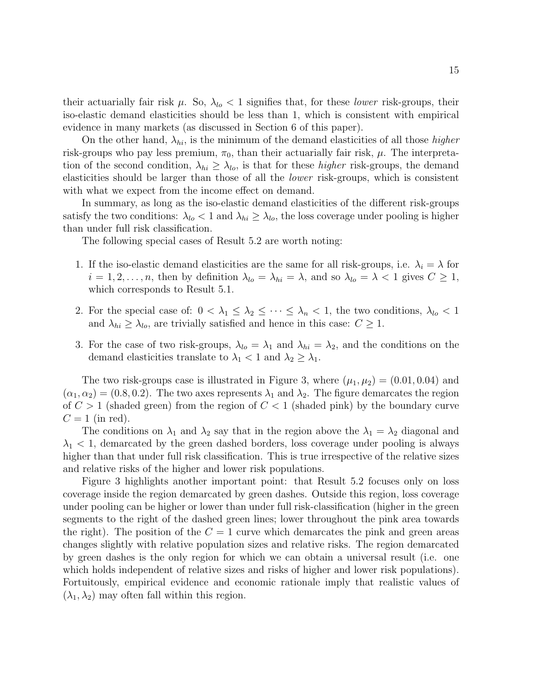their actuarially fair risk  $\mu$ . So,  $\lambda_{lo} < 1$  signifies that, for these *lower* risk-groups, their iso-elastic demand elasticities should be less than 1, which is consistent with empirical evidence in many markets (as discussed in Section 6 of this paper).

On the other hand,  $\lambda_{hi}$ , is the minimum of the demand elasticities of all those *higher* risk-groups who pay less premium,  $\pi_0$ , than their actuarially fair risk,  $\mu$ . The interpretation of the second condition,  $\lambda_{hi} \geq \lambda_{lo}$ , is that for these *higher* risk-groups, the demand elasticities should be larger than those of all the lower risk-groups, which is consistent with what we expect from the income effect on demand.

In summary, as long as the iso-elastic demand elasticities of the different risk-groups satisfy the two conditions:  $\lambda_{lo} < 1$  and  $\lambda_{hi} \geq \lambda_{lo}$ , the loss coverage under pooling is higher than under full risk classification.

The following special cases of Result 5.2 are worth noting:

- 1. If the iso-elastic demand elasticities are the same for all risk-groups, i.e.  $\lambda_i = \lambda$  for  $i = 1, 2, \ldots, n$ , then by definition  $\lambda_{lo} = \lambda_{hi} = \lambda$ , and so  $\lambda_{lo} = \lambda < 1$  gives  $C \ge 1$ , which corresponds to Result 5.1.
- 2. For the special case of:  $0 < \lambda_1 \leq \lambda_2 \leq \cdots \leq \lambda_n < 1$ , the two conditions,  $\lambda_{lo} < 1$ and  $\lambda_{hi} \geq \lambda_{lo}$ , are trivially satisfied and hence in this case:  $C \geq 1$ .
- 3. For the case of two risk-groups,  $\lambda_{lo} = \lambda_1$  and  $\lambda_{hi} = \lambda_2$ , and the conditions on the demand elasticities translate to  $\lambda_1 < 1$  and  $\lambda_2 \geq \lambda_1$ .

The two risk-groups case is illustrated in Figure 3, where  $(\mu_1, \mu_2) = (0.01, 0.04)$  and  $(\alpha_1, \alpha_2) = (0.8, 0.2)$ . The two axes represents  $\lambda_1$  and  $\lambda_2$ . The figure demarcates the region of  $C > 1$  (shaded green) from the region of  $C < 1$  (shaded pink) by the boundary curve  $C = 1$  (in red).

The conditions on  $\lambda_1$  and  $\lambda_2$  say that in the region above the  $\lambda_1 = \lambda_2$  diagonal and  $\lambda_1$  < 1, demarcated by the green dashed borders, loss coverage under pooling is always higher than that under full risk classification. This is true irrespective of the relative sizes and relative risks of the higher and lower risk populations.

Figure 3 highlights another important point: that Result 5.2 focuses only on loss coverage inside the region demarcated by green dashes. Outside this region, loss coverage under pooling can be higher or lower than under full risk-classification (higher in the green segments to the right of the dashed green lines; lower throughout the pink area towards the right). The position of the  $C = 1$  curve which demarcates the pink and green areas changes slightly with relative population sizes and relative risks. The region demarcated by green dashes is the only region for which we can obtain a universal result (i.e. one which holds independent of relative sizes and risks of higher and lower risk populations). Fortuitously, empirical evidence and economic rationale imply that realistic values of  $(\lambda_1, \lambda_2)$  may often fall within this region.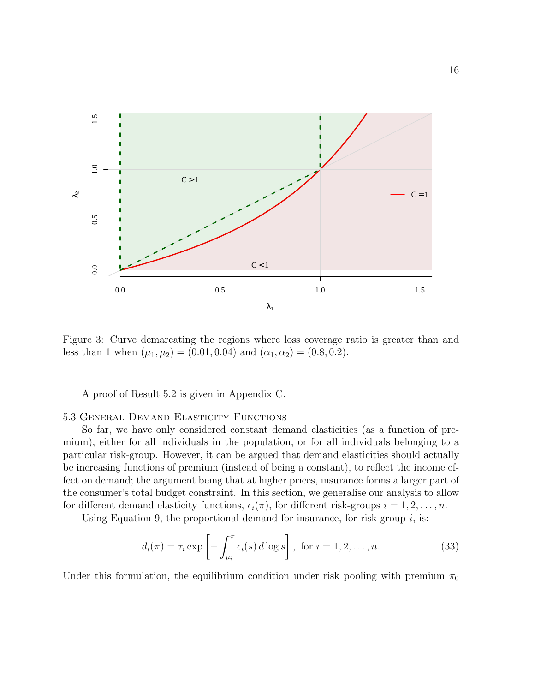

Figure 3: Curve demarcating the regions where loss coverage ratio is greater than and less than 1 when  $(\mu_1, \mu_2) = (0.01, 0.04)$  and  $(\alpha_1, \alpha_2) = (0.8, 0.2)$ .

A proof of Result 5.2 is given in Appendix C.

#### 5.3 General Demand Elasticity Functions

So far, we have only considered constant demand elasticities (as a function of premium), either for all individuals in the population, or for all individuals belonging to a particular risk-group. However, it can be argued that demand elasticities should actually be increasing functions of premium (instead of being a constant), to reflect the income effect on demand; the argument being that at higher prices, insurance forms a larger part of the consumer's total budget constraint. In this section, we generalise our analysis to allow for different demand elasticity functions,  $\epsilon_i(\pi)$ , for different risk-groups  $i = 1, 2, \ldots, n$ .

Using Equation 9, the proportional demand for insurance, for risk-group  $i$ , is:

$$
d_i(\pi) = \tau_i \exp\left[-\int_{\mu_i}^{\pi} \epsilon_i(s) d\log s\right], \text{ for } i = 1, 2, \dots, n.
$$
 (33)

Under this formulation, the equilibrium condition under risk pooling with premium  $\pi_0$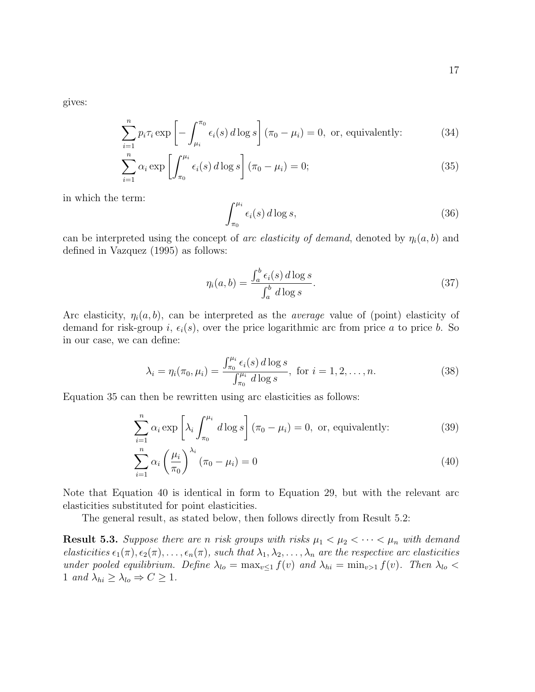gives:

$$
\sum_{i=1}^{n} p_i \tau_i \exp\left[-\int_{\mu_i}^{\pi_0} \epsilon_i(s) \, d\log s\right] (\pi_0 - \mu_i) = 0, \text{ or, equivalently:}
$$
 (34)

$$
\sum_{i=1}^{n} \alpha_i \exp\left[\int_{\pi_0}^{\mu_i} \epsilon_i(s) d \log s\right] (\pi_0 - \mu_i) = 0; \tag{35}
$$

in which the term:

$$
\int_{\pi_0}^{\mu_i} \epsilon_i(s) \, d\log s,\tag{36}
$$

can be interpreted using the concept of arc elasticity of demand, denoted by  $\eta_i(a, b)$  and defined in Vazquez (1995) as follows:

$$
\eta_i(a, b) = \frac{\int_a^b \epsilon_i(s) \, d\log s}{\int_a^b d\log s}.\tag{37}
$$

Arc elasticity,  $\eta_i(a, b)$ , can be interpreted as the *average* value of (point) elasticity of demand for risk-group i,  $\epsilon_i(s)$ , over the price logarithmic arc from price a to price b. So in our case, we can define:

$$
\lambda_i = \eta_i(\pi_0, \mu_i) = \frac{\int_{\pi_0}^{\mu_i} \epsilon_i(s) \, d \log s}{\int_{\pi_0}^{\mu_i} d \log s}, \text{ for } i = 1, 2, \dots, n. \tag{38}
$$

Equation 35 can then be rewritten using arc elasticities as follows:

$$
\sum_{i=1}^{n} \alpha_i \exp\left[\lambda_i \int_{\pi_0}^{\mu_i} d\log s\right] (\pi_0 - \mu_i) = 0, \text{ or, equivalently:}
$$
 (39)

$$
\sum_{i=1}^{n} \alpha_i \left(\frac{\mu_i}{\pi_0}\right)^{\lambda_i} \left(\pi_0 - \mu_i\right) = 0 \tag{40}
$$

Note that Equation 40 is identical in form to Equation 29, but with the relevant arc elasticities substituted for point elasticities.

The general result, as stated below, then follows directly from Result 5.2:

**Result 5.3.** Suppose there are n risk groups with risks  $\mu_1 < \mu_2 < \cdots < \mu_n$  with demand elasticities  $\epsilon_1(\pi), \epsilon_2(\pi), \ldots, \epsilon_n(\pi)$ , such that  $\lambda_1, \lambda_2, \ldots, \lambda_n$  are the respective arc elasticities under pooled equilibrium. Define  $\lambda_{lo} = \max_{v \leq 1} f(v)$  and  $\lambda_{hi} = \min_{v > 1} f(v)$ . Then  $\lambda_{lo} <$ 1 and  $\lambda_{hi} \geq \lambda_{lo} \Rightarrow C \geq 1$ .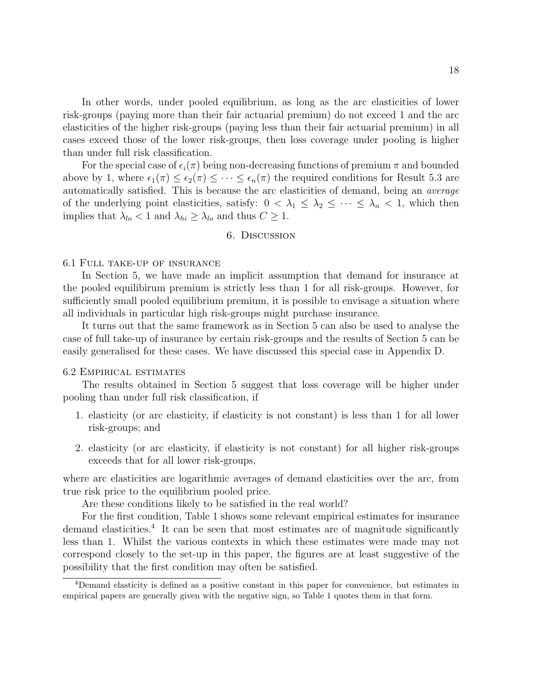In other words, under pooled equilibrium, as long as the arc elasticities of lower risk-groups (paying more than their fair actuarial premium) do not exceed 1 and the arc elasticities of the higher risk-groups (paying less than their fair actuarial premium) in all cases exceed those of the lower risk-groups, then loss coverage under pooling is higher than under full risk classification.

For the special case of  $\epsilon_i(\pi)$  being non-decreasing functions of premium  $\pi$  and bounded above by 1, where  $\epsilon_1(\pi) \leq \epsilon_2(\pi) \leq \cdots \leq \epsilon_n(\pi)$  the required conditions for Result 5.3 are automatically satisfied. This is because the arc elasticities of demand, being an average of the underlying point elasticities, satisfy:  $0 < \lambda_1 \leq \lambda_2 \leq \cdots \leq \lambda_n < 1$ , which then implies that  $\lambda_{lo} < 1$  and  $\lambda_{hi} \geq \lambda_{lo}$  and thus  $C \geq 1$ .

#### 6. Discussion

#### 6.1 Full take-up of insurance

In Section 5, we have made an implicit assumption that demand for insurance at the pooled equilibirum premium is strictly less than 1 for all risk-groups. However, for sufficiently small pooled equilibrium premium, it is possible to envisage a situation where all individuals in particular high risk-groups might purchase insurance.

It turns out that the same framework as in Section 5 can also be used to analyse the case of full take-up of insurance by certain risk-groups and the results of Section 5 can be easily generalised for these cases. We have discussed this special case in Appendix D.

#### 6.2 Empirical estimates

The results obtained in Section 5 suggest that loss coverage will be higher under pooling than under full risk classification, if

- 1. elasticity (or arc elasticity, if elasticity is not constant) is less than 1 for all lower risk-groups; and
- 2. elasticity (or arc elasticity, if elasticity is not constant) for all higher risk-groups exceeds that for all lower risk-groups,

where arc elasticities are logarithmic averages of demand elasticities over the arc, from true risk price to the equilibrium pooled price.

Are these conditions likely to be satisfied in the real world?

For the first condition, Table 1 shows some relevant empirical estimates for insurance demand elasticities.<sup>4</sup> It can be seen that most estimates are of magnitude significantly less than 1. Whilst the various contexts in which these estimates were made may not correspond closely to the set-up in this paper, the figures are at least suggestive of the possibility that the first condition may often be satisfied.

<sup>4</sup>Demand elasticity is defined as a positive constant in this paper for convenience, but estimates in empirical papers are generally given with the negative sign, so Table 1 quotes them in that form.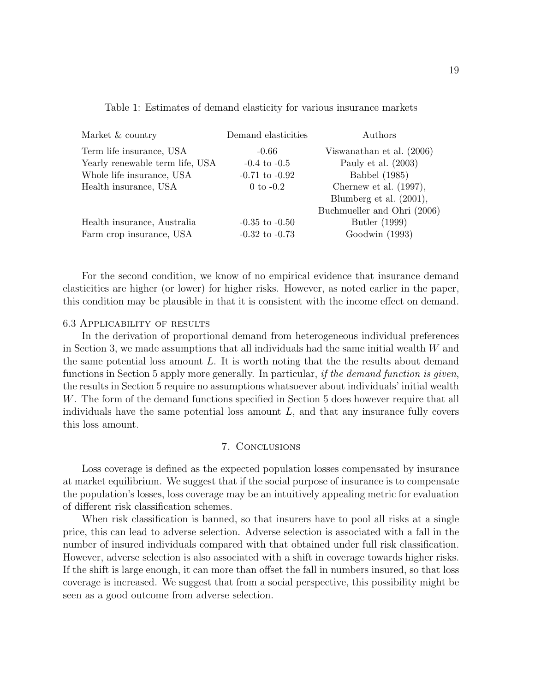|  | Table 1: Estimates of demand elasticity for various insurance markets |  |  |  |  |  |
|--|-----------------------------------------------------------------------|--|--|--|--|--|
|  |                                                                       |  |  |  |  |  |
|  |                                                                       |  |  |  |  |  |

| Market & country                | Demand elasticities | Authors                     |
|---------------------------------|---------------------|-----------------------------|
| Term life insurance, USA        | $-0.66$             | Viswanathan et al. (2006)   |
| Yearly renewable term life, USA | $-0.4$ to $-0.5$    | Pauly et al. $(2003)$       |
| Whole life insurance, USA       | $-0.71$ to $-0.92$  | <b>Babbel</b> (1985)        |
| Health insurance, USA           | $0$ to $-0.2$       | Chernew et al. $(1997)$ ,   |
|                                 |                     | Blumberg et al. (2001),     |
|                                 |                     | Buchmueller and Ohri (2006) |
| Health insurance, Australia     | $-0.35$ to $-0.50$  | Butler (1999)               |
| Farm crop insurance, USA        | $-0.32$ to $-0.73$  | Goodwin (1993)              |

For the second condition, we know of no empirical evidence that insurance demand elasticities are higher (or lower) for higher risks. However, as noted earlier in the paper, this condition may be plausible in that it is consistent with the income effect on demand.

#### 6.3 Applicability of results

In the derivation of proportional demand from heterogeneous individual preferences in Section 3, we made assumptions that all individuals had the same initial wealth W and the same potential loss amount  $L$ . It is worth noting that the the results about demand functions in Section 5 apply more generally. In particular, *if the demand function is given*, the results in Section 5 require no assumptions whatsoever about individuals' initial wealth W. The form of the demand functions specified in Section 5 does however require that all individuals have the same potential loss amount  $L$ , and that any insurance fully covers this loss amount.

#### 7. Conclusions

Loss coverage is defined as the expected population losses compensated by insurance at market equilibrium. We suggest that if the social purpose of insurance is to compensate the population's losses, loss coverage may be an intuitively appealing metric for evaluation of different risk classification schemes.

When risk classification is banned, so that insurers have to pool all risks at a single price, this can lead to adverse selection. Adverse selection is associated with a fall in the number of insured individuals compared with that obtained under full risk classification. However, adverse selection is also associated with a shift in coverage towards higher risks. If the shift is large enough, it can more than offset the fall in numbers insured, so that loss coverage is increased. We suggest that from a social perspective, this possibility might be seen as a good outcome from adverse selection.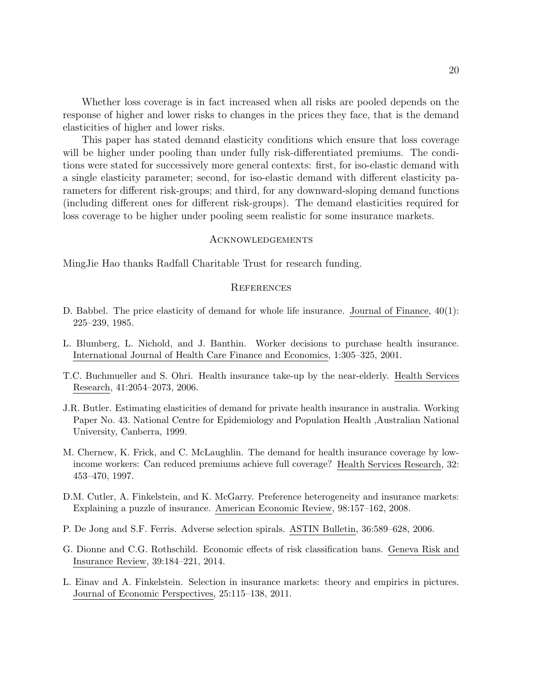Whether loss coverage is in fact increased when all risks are pooled depends on the response of higher and lower risks to changes in the prices they face, that is the demand elasticities of higher and lower risks.

This paper has stated demand elasticity conditions which ensure that loss coverage will be higher under pooling than under fully risk-differentiated premiums. The conditions were stated for successively more general contexts: first, for iso-elastic demand with a single elasticity parameter; second, for iso-elastic demand with different elasticity parameters for different risk-groups; and third, for any downward-sloping demand functions (including different ones for different risk-groups). The demand elasticities required for loss coverage to be higher under pooling seem realistic for some insurance markets.

#### Acknowledgements

MingJie Hao thanks Radfall Charitable Trust for research funding.

#### **REFERENCES**

- D. Babbel. The price elasticity of demand for whole life insurance. Journal of Finance, 40(1): 225–239, 1985.
- L. Blumberg, L. Nichold, and J. Banthin. Worker decisions to purchase health insurance. International Journal of Health Care Finance and Economics, 1:305–325, 2001.
- T.C. Buchmueller and S. Ohri. Health insurance take-up by the near-elderly. Health Services Research, 41:2054–2073, 2006.
- J.R. Butler. Estimating elasticities of demand for private health insurance in australia. Working Paper No. 43. National Centre for Epidemiology and Population Health ,Australian National University, Canberra, 1999.
- M. Chernew, K. Frick, and C. McLaughlin. The demand for health insurance coverage by lowincome workers: Can reduced premiums achieve full coverage? Health Services Research, 32: 453–470, 1997.
- D.M. Cutler, A. Finkelstein, and K. McGarry. Preference heterogeneity and insurance markets: Explaining a puzzle of insurance. American Economic Review, 98:157–162, 2008.
- P. De Jong and S.F. Ferris. Adverse selection spirals. ASTIN Bulletin, 36:589–628, 2006.
- G. Dionne and C.G. Rothschild. Economic effects of risk classification bans. Geneva Risk and Insurance Review, 39:184–221, 2014.
- L. Einav and A. Finkelstein. Selection in insurance markets: theory and empirics in pictures. Journal of Economic Perspectives, 25:115–138, 2011.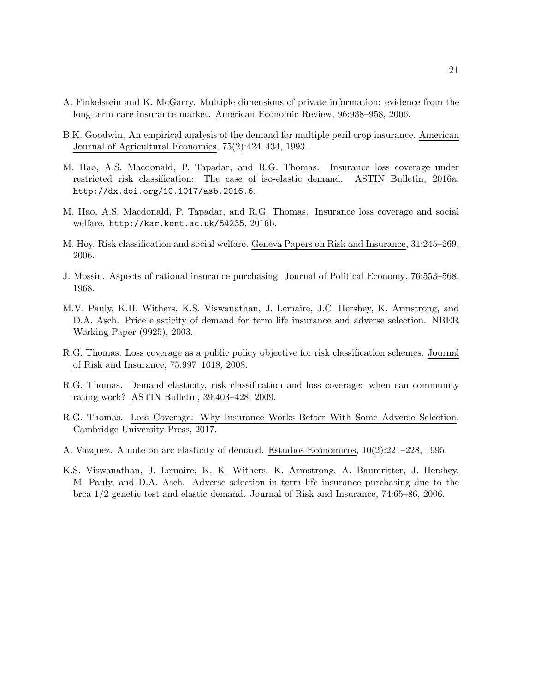- A. Finkelstein and K. McGarry. Multiple dimensions of private information: evidence from the long-term care insurance market. American Economic Review, 96:938–958, 2006.
- B.K. Goodwin. An empirical analysis of the demand for multiple peril crop insurance. American Journal of Agricultural Economics, 75(2):424–434, 1993.
- M. Hao, A.S. Macdonald, P. Tapadar, and R.G. Thomas. Insurance loss coverage under restricted risk classification: The case of iso-elastic demand. ASTIN Bulletin, 2016a. http://dx.doi.org/10.1017/asb.2016.6.
- M. Hao, A.S. Macdonald, P. Tapadar, and R.G. Thomas. Insurance loss coverage and social welfare. http://kar.kent.ac.uk/54235, 2016b.
- M. Hoy. Risk classification and social welfare. Geneva Papers on Risk and Insurance, 31:245–269, 2006.
- J. Mossin. Aspects of rational insurance purchasing. Journal of Political Economy, 76:553–568, 1968.
- M.V. Pauly, K.H. Withers, K.S. Viswanathan, J. Lemaire, J.C. Hershey, K. Armstrong, and D.A. Asch. Price elasticity of demand for term life insurance and adverse selection. NBER Working Paper (9925), 2003.
- R.G. Thomas. Loss coverage as a public policy objective for risk classification schemes. Journal of Risk and Insurance, 75:997–1018, 2008.
- R.G. Thomas. Demand elasticity, risk classification and loss coverage: when can community rating work? ASTIN Bulletin, 39:403–428, 2009.
- R.G. Thomas. Loss Coverage: Why Insurance Works Better With Some Adverse Selection. Cambridge University Press, 2017.
- A. Vazquez. A note on arc elasticity of demand. Estudios Economicos, 10(2):221–228, 1995.
- K.S. Viswanathan, J. Lemaire, K. K. Withers, K. Armstrong, A. Baumritter, J. Hershey, M. Pauly, and D.A. Asch. Adverse selection in term life insurance purchasing due to the brca 1/2 genetic test and elastic demand. Journal of Risk and Insurance, 74:65–86, 2006.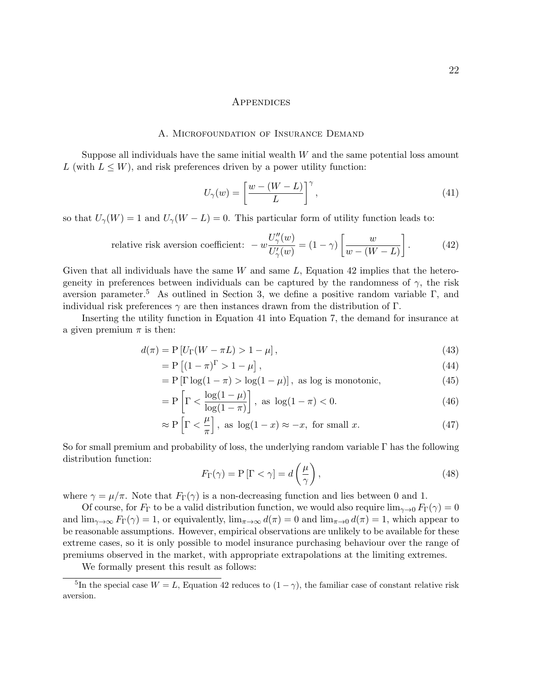#### **APPENDICES**

#### A. Microfoundation of Insurance Demand

Suppose all individuals have the same initial wealth  $W$  and the same potential loss amount L (with  $L \leq W$ ), and risk preferences driven by a power utility function:

$$
U_{\gamma}(w) = \left[\frac{w - (W - L)}{L}\right]^{\gamma},\tag{41}
$$

so that  $U_{\gamma}(W) = 1$  and  $U_{\gamma}(W - L) = 0$ . This particular form of utility function leads to:

relative risk aversion coefficient: 
$$
-w \frac{U''_{\gamma}(w)}{U'_{\gamma}(w)} = (1 - \gamma) \left[ \frac{w}{w - (W - L)} \right]. \tag{42}
$$

Given that all individuals have the same  $W$  and same  $L$ , Equation 42 implies that the heterogeneity in preferences between individuals can be captured by the randomness of  $\gamma$ , the risk aversion parameter.<sup>5</sup> As outlined in Section 3, we define a positive random variable Γ, and individual risk preferences  $\gamma$  are then instances drawn from the distribution of Γ.

Inserting the utility function in Equation 41 into Equation 7, the demand for insurance at a given premium  $\pi$  is then:

$$
d(\pi) = P\left[U_{\Gamma}(W - \pi L) > 1 - \mu\right],\tag{43}
$$

$$
= P\left[ (1 - \pi)^{\Gamma} > 1 - \mu \right],\tag{44}
$$

$$
= P \left[ \Gamma \log(1 - \pi) > \log(1 - \mu) \right], \text{ as log is monotonic}, \tag{45}
$$

$$
= P\left[\Gamma < \frac{\log(1-\mu)}{\log(1-\pi)}\right], \text{ as } \log(1-\pi) < 0. \tag{46}
$$

$$
\approx P \left[ \Gamma < \frac{\mu}{\pi} \right]
$$
, as  $\log(1 - x) \approx -x$ , for small  $x$ . (47)

So for small premium and probability of loss, the underlying random variable Γ has the following distribution function:

$$
F_{\Gamma}(\gamma) = P[\Gamma < \gamma] = d\left(\frac{\mu}{\gamma}\right),\tag{48}
$$

where  $\gamma = \mu/\pi$ . Note that  $F_{\Gamma}(\gamma)$  is a non-decreasing function and lies between 0 and 1.

Of course, for  $F_{\Gamma}$  to be a valid distribution function, we would also require  $\lim_{\gamma\to 0} F_{\Gamma}(\gamma) = 0$ and  $\lim_{\gamma \to \infty} F_{\Gamma}(\gamma) = 1$ , or equivalently,  $\lim_{\pi \to \infty} d(\pi) = 0$  and  $\lim_{\pi \to 0} d(\pi) = 1$ , which appear to be reasonable assumptions. However, empirical observations are unlikely to be available for these extreme cases, so it is only possible to model insurance purchasing behaviour over the range of premiums observed in the market, with appropriate extrapolations at the limiting extremes.

We formally present this result as follows:

<sup>&</sup>lt;sup>5</sup>In the special case  $W = L$ , Equation 42 reduces to  $(1 - \gamma)$ , the familiar case of constant relative risk aversion.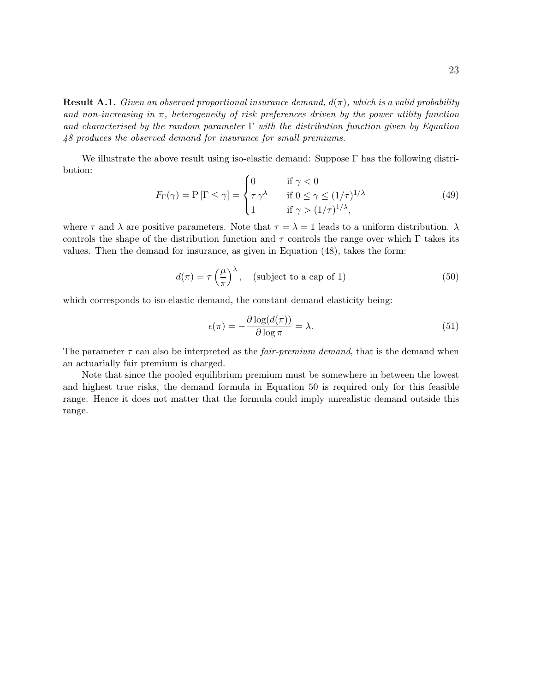**Result A.1.** Given an observed proportional insurance demand,  $d(\pi)$ , which is a valid probability and non-increasing in  $\pi$ , heterogeneity of risk preferences driven by the power utility function and characterised by the random parameter  $\Gamma$  with the distribution function given by Equation 48 produces the observed demand for insurance for small premiums.

We illustrate the above result using iso-elastic demand: Suppose  $\Gamma$  has the following distribution:  $\lambda$ 

$$
F_{\Gamma}(\gamma) = P[\Gamma \le \gamma] = \begin{cases} 0 & \text{if } \gamma < 0 \\ \tau \gamma^{\lambda} & \text{if } 0 \le \gamma \le (1/\tau)^{1/\lambda} \\ 1 & \text{if } \gamma > (1/\tau)^{1/\lambda}, \end{cases}
$$
(49)

where  $\tau$  and  $\lambda$  are positive parameters. Note that  $\tau = \lambda = 1$  leads to a uniform distribution.  $\lambda$ controls the shape of the distribution function and  $\tau$  controls the range over which  $\Gamma$  takes its values. Then the demand for insurance, as given in Equation (48), takes the form:

$$
d(\pi) = \tau \left(\frac{\mu}{\pi}\right)^{\lambda}, \quad \text{(subject to a cap of 1)}\tag{50}
$$

which corresponds to iso-elastic demand, the constant demand elasticity being:

$$
\epsilon(\pi) = -\frac{\partial \log(d(\pi))}{\partial \log \pi} = \lambda.
$$
\n(51)

The parameter  $\tau$  can also be interpreted as the *fair-premium demand*, that is the demand when an actuarially fair premium is charged.

Note that since the pooled equilibrium premium must be somewhere in between the lowest and highest true risks, the demand formula in Equation 50 is required only for this feasible range. Hence it does not matter that the formula could imply unrealistic demand outside this range.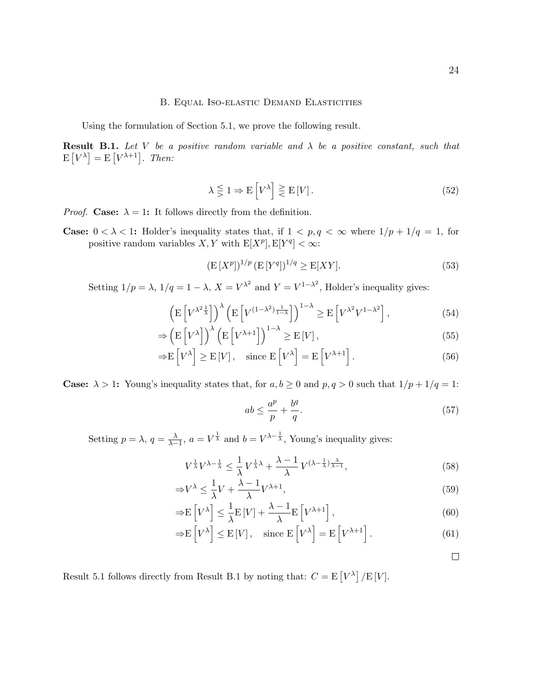#### B. Equal Iso-elastic Demand Elasticities

Using the formulation of Section 5.1, we prove the following result.

**Result B.1.** Let V be a positive random variable and  $\lambda$  be a positive constant, such that  $E[V^{\lambda}] = E[V^{\lambda+1}]$ . Then:

$$
\lambda \leq 1 \Rightarrow E[V^{\lambda}] \geq E[V]. \tag{52}
$$

*Proof.* Case:  $\lambda = 1$ : It follows directly from the definition.

**Case:**  $0 < \lambda < 1$ : Holder's inequality states that, if  $1 < p, q < \infty$  where  $1/p + 1/q = 1$ , for positive random variables  $X, Y$  with  $E[X^p], E[Y^q] < \infty$ :

$$
(\mathbf{E}\left[X^p\right])^{1/p} \left(\mathbf{E}\left[Y^q\right]\right)^{1/q} \ge \mathbf{E}[XY].\tag{53}
$$

Setting  $1/p = \lambda$ ,  $1/q = 1 - \lambda$ ,  $X = V^{\lambda^2}$  and  $Y = V^{1-\lambda^2}$ , Holder's inequality gives:

$$
\left(\mathbb{E}\left[V^{\lambda^2 \frac{1}{\lambda}}\right]\right)^{\lambda}\left(\mathbb{E}\left[V^{(1-\lambda^2)\frac{1}{1-\lambda}}\right]\right)^{1-\lambda} \ge \mathbb{E}\left[V^{\lambda^2}V^{1-\lambda^2}\right],\tag{54}
$$

$$
\Rightarrow \left(\mathbf{E}\left[V^{\lambda}\right]\right)^{\lambda}\left(\mathbf{E}\left[V^{\lambda+1}\right]\right)^{1-\lambda} \ge \mathbf{E}\left[V\right],\tag{55}
$$

$$
\Rightarrow E[V^{\lambda}] \ge E[V], \quad \text{since } E[V^{\lambda}] = E[V^{\lambda+1}]. \tag{56}
$$

**Case:**  $\lambda > 1$ : Young's inequality states that, for  $a, b \ge 0$  and  $p, q > 0$  such that  $1/p + 1/q = 1$ :

$$
ab \le \frac{a^p}{p} + \frac{b^q}{q}.\tag{57}
$$

Setting  $p = \lambda$ ,  $q = \frac{\lambda}{\lambda - 1}$ ,  $a = V^{\frac{1}{\lambda}}$  and  $b = V^{\lambda - \frac{1}{\lambda}}$ , Young's inequality gives:

$$
V^{\frac{1}{\lambda}}V^{\lambda - \frac{1}{\lambda}} \le \frac{1}{\lambda}V^{\frac{1}{\lambda}\lambda} + \frac{\lambda - 1}{\lambda}V^{(\lambda - \frac{1}{\lambda})\frac{\lambda}{\lambda - 1}},\tag{58}
$$

$$
\Rightarrow V^{\lambda} \le \frac{1}{\lambda}V + \frac{\lambda - 1}{\lambda}V^{\lambda + 1},\tag{59}
$$

$$
\Rightarrow E\left[V^{\lambda}\right] \leq \frac{1}{\lambda}E\left[V\right] + \frac{\lambda - 1}{\lambda}E\left[V^{\lambda + 1}\right],\tag{60}
$$

$$
\Rightarrow E[V^{\lambda}] \le E[V], \quad \text{since } E[V^{\lambda}] = E[V^{\lambda+1}]. \tag{61}
$$

 $\Box$ 

Result 5.1 follows directly from Result B.1 by noting that:  $C = E[V^{\lambda}] / E[V]$ .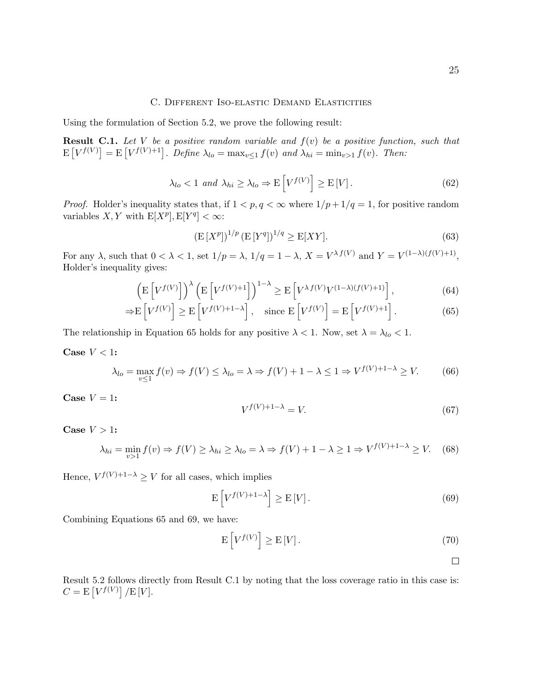#### C. Different Iso-elastic Demand Elasticities

Using the formulation of Section 5.2, we prove the following result:

**Result C.1.** Let V be a positive random variable and  $f(v)$  be a positive function, such that  $E[V^{f(V)}] = E[V^{f(V)+1}]$ . Define  $\lambda_{lo} = \max_{v \leq 1} f(v)$  and  $\lambda_{hi} = \min_{v > 1} f(v)$ . Then:

$$
\lambda_{lo} < 1 \text{ and } \lambda_{hi} \ge \lambda_{lo} \Rightarrow \mathcal{E}\left[V^{f(V)}\right] \ge \mathcal{E}\left[V\right].\tag{62}
$$

*Proof.* Holder's inequality states that, if  $1 < p, q < \infty$  where  $1/p + 1/q = 1$ , for positive random variables  $X, Y$  with  $E[X^p], E[Y^q] < \infty$ :

$$
(\mathbf{E}[X^p])^{1/p} (\mathbf{E}[Y^q])^{1/q} \ge \mathbf{E}[XY].
$$
\n(63)

For any  $\lambda$ , such that  $0 < \lambda < 1$ , set  $1/p = \lambda$ ,  $1/q = 1 - \lambda$ ,  $X = V^{\lambda} f(V)$  and  $Y = V^{(1-\lambda)(f(V)+1)}$ , Holder's inequality gives:

$$
\left(\mathbf{E}\left[V^{f(V)}\right]\right)^{\lambda}\left(\mathbf{E}\left[V^{f(V)+1}\right]\right)^{1-\lambda} \ge \mathbf{E}\left[V^{\lambda}{}^{f(V)}V^{(1-\lambda)(f(V)+1)}\right],\tag{64}
$$

$$
\Rightarrow E\left[V^{f(V)}\right] \ge E\left[V^{f(V)+1-\lambda}\right], \quad \text{since } E\left[V^{f(V)}\right] = E\left[V^{f(V)+1}\right].\tag{65}
$$

The relationship in Equation 65 holds for any positive  $\lambda < 1$ . Now, set  $\lambda = \lambda_{lo} < 1$ .

Case  $V < 1$ :

$$
\lambda_{lo} = \max_{v \le 1} f(v) \Rightarrow f(V) \le \lambda_{lo} = \lambda \Rightarrow f(V) + 1 - \lambda \le 1 \Rightarrow V^{f(V) + 1 - \lambda} \ge V. \tag{66}
$$

Case  $V = 1$ :

$$
V^{f(V)+1-\lambda} = V.\t\t(67)
$$

Case  $V > 1$ :

$$
\lambda_{hi} = \min_{v>1} f(v) \Rightarrow f(V) \ge \lambda_{hi} \ge \lambda_{lo} = \lambda \Rightarrow f(V) + 1 - \lambda \ge 1 \Rightarrow V^{f(V)+1-\lambda} \ge V. \tag{68}
$$

Hence,  $V^{f(V)+1-\lambda} \geq V$  for all cases, which implies

$$
\mathcal{E}\left[V^{f(V)+1-\lambda}\right] \ge \mathcal{E}\left[V\right].\tag{69}
$$

Combining Equations 65 and 69, we have:

$$
\mathcal{E}\left[V^{f(V)}\right] \ge \mathcal{E}\left[V\right].\tag{70}
$$

 $\Box$ 

Result 5.2 follows directly from Result C.1 by noting that the loss coverage ratio in this case is:  $C = \mathrm{E}\left[V^{f(V)}\right]/\mathrm{E}\left[V\right].$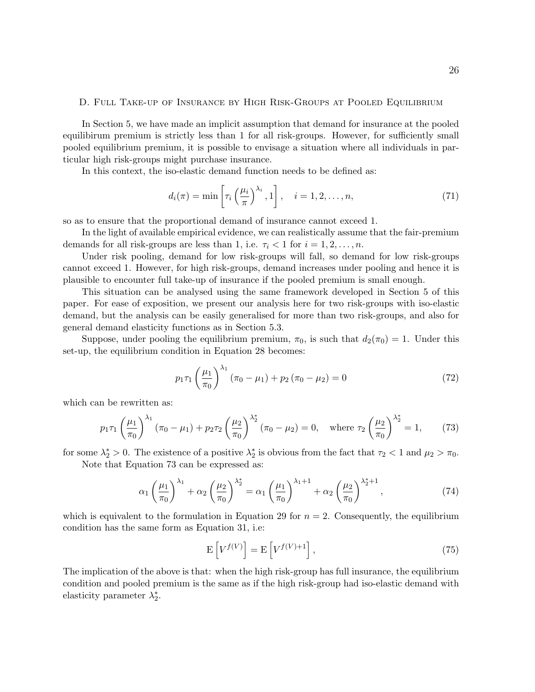#### D. Full Take-up of Insurance by High Risk-Groups at Pooled Equilibrium

In Section 5, we have made an implicit assumption that demand for insurance at the pooled equilibirum premium is strictly less than 1 for all risk-groups. However, for sufficiently small pooled equilibrium premium, it is possible to envisage a situation where all individuals in particular high risk-groups might purchase insurance.

In this context, the iso-elastic demand function needs to be defined as:

$$
d_i(\pi) = \min\left[\tau_i\left(\frac{\mu_i}{\pi}\right)^{\lambda_i}, 1\right], \quad i = 1, 2, \dots, n,
$$
\n(71)

so as to ensure that the proportional demand of insurance cannot exceed 1.

In the light of available empirical evidence, we can realistically assume that the fair-premium demands for all risk-groups are less than 1, i.e.  $\tau_i < 1$  for  $i = 1, 2, \ldots, n$ .

Under risk pooling, demand for low risk-groups will fall, so demand for low risk-groups cannot exceed 1. However, for high risk-groups, demand increases under pooling and hence it is plausible to encounter full take-up of insurance if the pooled premium is small enough.

This situation can be analysed using the same framework developed in Section 5 of this paper. For ease of exposition, we present our analysis here for two risk-groups with iso-elastic demand, but the analysis can be easily generalised for more than two risk-groups, and also for general demand elasticity functions as in Section 5.3.

Suppose, under pooling the equilibrium premium,  $\pi_0$ , is such that  $d_2(\pi_0) = 1$ . Under this set-up, the equilibrium condition in Equation 28 becomes:

$$
p_1 \tau_1 \left(\frac{\mu_1}{\pi_0}\right)^{\lambda_1} \left(\pi_0 - \mu_1\right) + p_2 \left(\pi_0 - \mu_2\right) = 0 \tag{72}
$$

which can be rewritten as:

$$
p_1 \tau_1 \left(\frac{\mu_1}{\pi_0}\right)^{\lambda_1} \left(\pi_0 - \mu_1\right) + p_2 \tau_2 \left(\frac{\mu_2}{\pi_0}\right)^{\lambda_2^*} \left(\pi_0 - \mu_2\right) = 0, \quad \text{where } \tau_2 \left(\frac{\mu_2}{\pi_0}\right)^{\lambda_2^*} = 1,
$$
 (73)

for some  $\lambda_2^* > 0$ . The existence of a positive  $\lambda_2^*$  is obvious from the fact that  $\tau_2 < 1$  and  $\mu_2 > \pi_0$ . Note that Equation 73 can be expressed as:

$$
\alpha_1 \left(\frac{\mu_1}{\pi_0}\right)^{\lambda_1} + \alpha_2 \left(\frac{\mu_2}{\pi_0}\right)^{\lambda_2^*} = \alpha_1 \left(\frac{\mu_1}{\pi_0}\right)^{\lambda_1 + 1} + \alpha_2 \left(\frac{\mu_2}{\pi_0}\right)^{\lambda_2^* + 1},\tag{74}
$$

which is equivalent to the formulation in Equation 29 for  $n = 2$ . Consequently, the equilibrium condition has the same form as Equation 31, i.e:

$$
\mathcal{E}\left[V^{f(V)}\right] = \mathcal{E}\left[V^{f(V)+1}\right],\tag{75}
$$

The implication of the above is that: when the high risk-group has full insurance, the equilibrium condition and pooled premium is the same as if the high risk-group had iso-elastic demand with elasticity parameter  $\lambda_2^*$ .